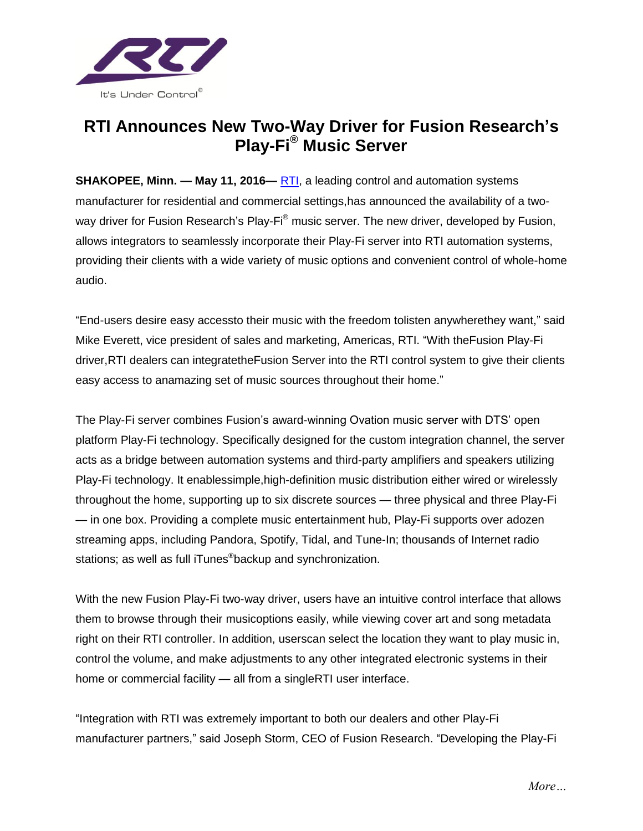

## **RTI Announces New Two-Way Driver for Fusion Research's Play-Fi® Music Server**

**SHAKOPEE, Minn. — May 11, 2016—** [RTI,](http://www.rticorp.com/) a leading control and automation systems manufacturer for residential and commercial settings,has announced the availability of a twoway driver for Fusion Research's Play-Fi® music server. The new driver, developed by Fusion, allows integrators to seamlessly incorporate their Play-Fi server into RTI automation systems, providing their clients with a wide variety of music options and convenient control of whole-home audio.

"End-users desire easy accessto their music with the freedom tolisten anywherethey want," said Mike Everett, vice president of sales and marketing, Americas, RTI. "With theFusion Play-Fi driver,RTI dealers can integratetheFusion Server into the RTI control system to give their clients easy access to anamazing set of music sources throughout their home."

The Play-Fi server combines Fusion's award-winning Ovation music server with DTS' open platform Play-Fi technology. Specifically designed for the custom integration channel, the server acts as a bridge between automation systems and third-party amplifiers and speakers utilizing Play-Fi technology. It enablessimple,high-definition music distribution either wired or wirelessly throughout the home, supporting up to six discrete sources — three physical and three Play-Fi — in one box. Providing a complete music entertainment hub, Play-Fi supports over adozen streaming apps, including Pandora, Spotify, Tidal, and Tune-In; thousands of Internet radio stations; as well as full iTunes®backup and synchronization.

With the new Fusion Play-Fi two-way driver, users have an intuitive control interface that allows them to browse through their musicoptions easily, while viewing cover art and song metadata right on their RTI controller. In addition, userscan select the location they want to play music in, control the volume, and make adjustments to any other integrated electronic systems in their home or commercial facility — all from a singleRTI user interface.

"Integration with RTI was extremely important to both our dealers and other Play-Fi manufacturer partners," said Joseph Storm, CEO of Fusion Research. "Developing the Play-Fi